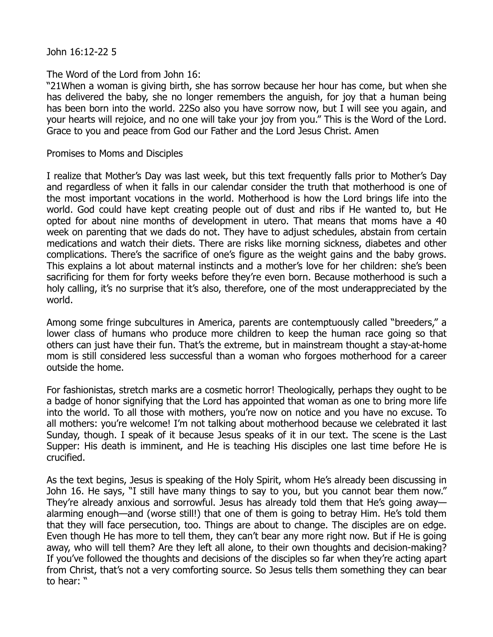John 16:12-22 5

## The Word of the Lord from John 16:

"21When a woman is giving birth, she has sorrow because her hour has come, but when she has delivered the baby, she no longer remembers the anguish, for joy that a human being has been born into the world. 22So also you have sorrow now, but I will see you again, and your hearts will rejoice, and no one will take your joy from you." This is the Word of the Lord. Grace to you and peace from God our Father and the Lord Jesus Christ. Amen

## Promises to Moms and Disciples

I realize that Mother's Day was last week, but this text frequently falls prior to Mother's Day and regardless of when it falls in our calendar consider the truth that motherhood is one of the most important vocations in the world. Motherhood is how the Lord brings life into the world. God could have kept creating people out of dust and ribs if He wanted to, but He opted for about nine months of development in utero. That means that moms have a 40 week on parenting that we dads do not. They have to adjust schedules, abstain from certain medications and watch their diets. There are risks like morning sickness, diabetes and other complications. There's the sacrifice of one's figure as the weight gains and the baby grows. This explains a lot about maternal instincts and a mother's love for her children: she's been sacrificing for them for forty weeks before they're even born. Because motherhood is such a holy calling, it's no surprise that it's also, therefore, one of the most underappreciated by the world.

Among some fringe subcultures in America, parents are contemptuously called "breeders," a lower class of humans who produce more children to keep the human race going so that others can just have their fun. That's the extreme, but in mainstream thought a stay-at-home mom is still considered less successful than a woman who forgoes motherhood for a career outside the home.

For fashionistas, stretch marks are a cosmetic horror! Theologically, perhaps they ought to be a badge of honor signifying that the Lord has appointed that woman as one to bring more life into the world. To all those with mothers, you're now on notice and you have no excuse. To all mothers: you're welcome! I'm not talking about motherhood because we celebrated it last Sunday, though. I speak of it because Jesus speaks of it in our text. The scene is the Last Supper: His death is imminent, and He is teaching His disciples one last time before He is crucified.

As the text begins, Jesus is speaking of the Holy Spirit, whom He's already been discussing in John 16. He says, "I still have many things to say to you, but you cannot bear them now." They're already anxious and sorrowful. Jesus has already told them that He's going away alarming enough—and (worse still!) that one of them is going to betray Him. He's told them that they will face persecution, too. Things are about to change. The disciples are on edge. Even though He has more to tell them, they can't bear any more right now. But if He is going away, who will tell them? Are they left all alone, to their own thoughts and decision-making? If you've followed the thoughts and decisions of the disciples so far when they're acting apart from Christ, that's not a very comforting source. So Jesus tells them something they can bear to hear: "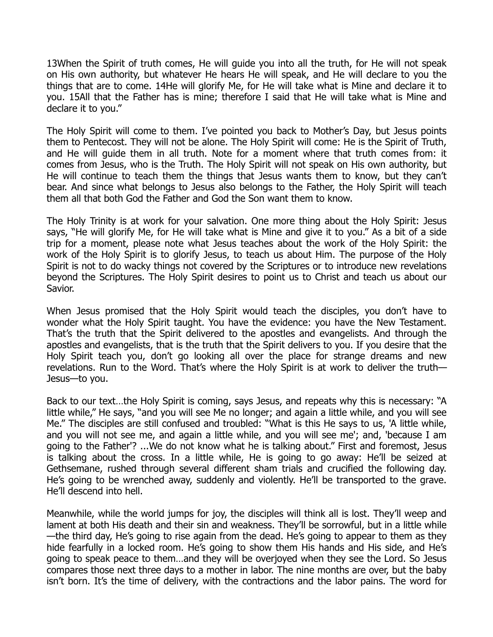13When the Spirit of truth comes, He will guide you into all the truth, for He will not speak on His own authority, but whatever He hears He will speak, and He will declare to you the things that are to come. 14He will glorify Me, for He will take what is Mine and declare it to you. 15All that the Father has is mine; therefore I said that He will take what is Mine and declare it to you."

The Holy Spirit will come to them. I've pointed you back to Mother's Day, but Jesus points them to Pentecost. They will not be alone. The Holy Spirit will come: He is the Spirit of Truth, and He will guide them in all truth. Note for a moment where that truth comes from: it comes from Jesus, who is the Truth. The Holy Spirit will not speak on His own authority, but He will continue to teach them the things that Jesus wants them to know, but they can't bear. And since what belongs to Jesus also belongs to the Father, the Holy Spirit will teach them all that both God the Father and God the Son want them to know.

The Holy Trinity is at work for your salvation. One more thing about the Holy Spirit: Jesus says, "He will glorify Me, for He will take what is Mine and give it to you." As a bit of a side trip for a moment, please note what Jesus teaches about the work of the Holy Spirit: the work of the Holy Spirit is to glorify Jesus, to teach us about Him. The purpose of the Holy Spirit is not to do wacky things not covered by the Scriptures or to introduce new revelations beyond the Scriptures. The Holy Spirit desires to point us to Christ and teach us about our Savior.

When Jesus promised that the Holy Spirit would teach the disciples, you don't have to wonder what the Holy Spirit taught. You have the evidence: you have the New Testament. That's the truth that the Spirit delivered to the apostles and evangelists. And through the apostles and evangelists, that is the truth that the Spirit delivers to you. If you desire that the Holy Spirit teach you, don't go looking all over the place for strange dreams and new revelations. Run to the Word. That's where the Holy Spirit is at work to deliver the truth— Jesus—to you.

Back to our text…the Holy Spirit is coming, says Jesus, and repeats why this is necessary: "A little while," He says, "and you will see Me no longer; and again a little while, and you will see Me." The disciples are still confused and troubled: "What is this He says to us, 'A little while, and you will not see me, and again a little while, and you will see me'; and, 'because I am going to the Father'? ...We do not know what he is talking about." First and foremost, Jesus is talking about the cross. In a little while, He is going to go away: He'll be seized at Gethsemane, rushed through several different sham trials and crucified the following day. He's going to be wrenched away, suddenly and violently. He'll be transported to the grave. He'll descend into hell.

Meanwhile, while the world jumps for joy, the disciples will think all is lost. They'll weep and lament at both His death and their sin and weakness. They'll be sorrowful, but in a little while —the third day, He's going to rise again from the dead. He's going to appear to them as they hide fearfully in a locked room. He's going to show them His hands and His side, and He's going to speak peace to them…and they will be overjoyed when they see the Lord. So Jesus compares those next three days to a mother in labor. The nine months are over, but the baby isn't born. It's the time of delivery, with the contractions and the labor pains. The word for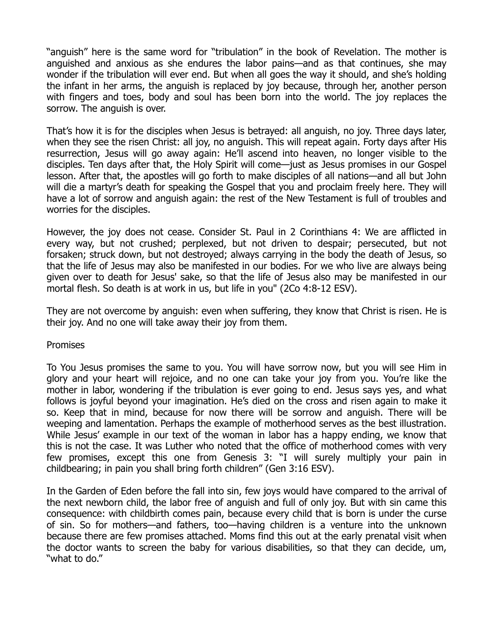"anguish" here is the same word for "tribulation" in the book of Revelation. The mother is anguished and anxious as she endures the labor pains—and as that continues, she may wonder if the tribulation will ever end. But when all goes the way it should, and she's holding the infant in her arms, the anguish is replaced by joy because, through her, another person with fingers and toes, body and soul has been born into the world. The joy replaces the sorrow. The anguish is over.

That's how it is for the disciples when Jesus is betrayed: all anguish, no joy. Three days later, when they see the risen Christ: all joy, no anguish. This will repeat again. Forty days after His resurrection, Jesus will go away again: He'll ascend into heaven, no longer visible to the disciples. Ten days after that, the Holy Spirit will come—just as Jesus promises in our Gospel lesson. After that, the apostles will go forth to make disciples of all nations—and all but John will die a martyr's death for speaking the Gospel that you and proclaim freely here. They will have a lot of sorrow and anguish again: the rest of the New Testament is full of troubles and worries for the disciples.

However, the joy does not cease. Consider St. Paul in 2 Corinthians 4: We are afflicted in every way, but not crushed; perplexed, but not driven to despair; persecuted, but not forsaken; struck down, but not destroyed; always carrying in the body the death of Jesus, so that the life of Jesus may also be manifested in our bodies. For we who live are always being given over to death for Jesus' sake, so that the life of Jesus also may be manifested in our mortal flesh. So death is at work in us, but life in you" (2Co 4:8-12 ESV).

They are not overcome by anguish: even when suffering, they know that Christ is risen. He is their joy. And no one will take away their joy from them.

Promises

To You Jesus promises the same to you. You will have sorrow now, but you will see Him in glory and your heart will rejoice, and no one can take your joy from you. You're like the mother in labor, wondering if the tribulation is ever going to end. Jesus says yes, and what follows is joyful beyond your imagination. He's died on the cross and risen again to make it so. Keep that in mind, because for now there will be sorrow and anguish. There will be weeping and lamentation. Perhaps the example of motherhood serves as the best illustration. While Jesus' example in our text of the woman in labor has a happy ending, we know that this is not the case. It was Luther who noted that the office of motherhood comes with very few promises, except this one from Genesis 3: "I will surely multiply your pain in childbearing; in pain you shall bring forth children" (Gen 3:16 ESV).

In the Garden of Eden before the fall into sin, few joys would have compared to the arrival of the next newborn child, the labor free of anguish and full of only joy. But with sin came this consequence: with childbirth comes pain, because every child that is born is under the curse of sin. So for mothers—and fathers, too—having children is a venture into the unknown because there are few promises attached. Moms find this out at the early prenatal visit when the doctor wants to screen the baby for various disabilities, so that they can decide, um, "what to do."